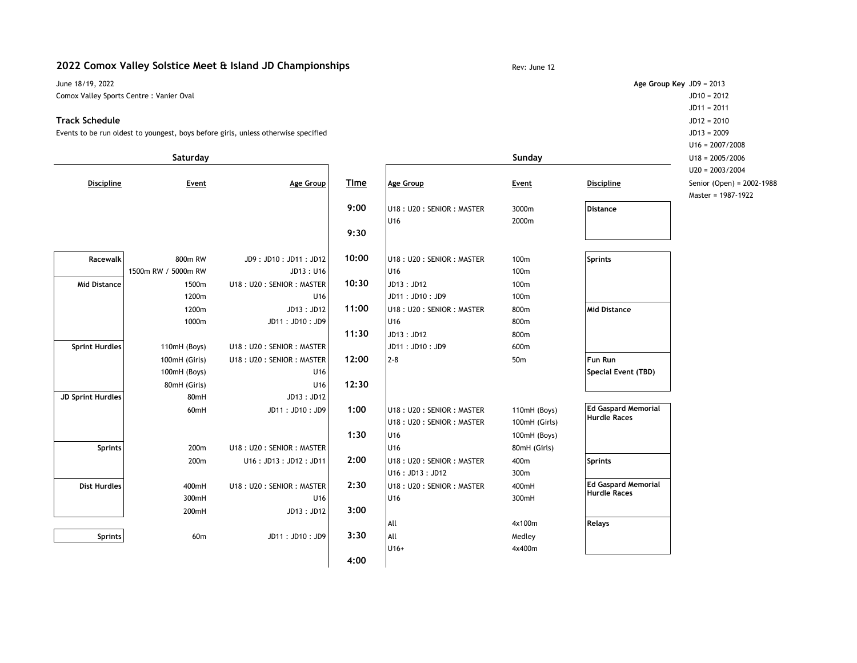## **2022 Comox Valley Solstice Meet & Island JD Championships** Rev: June 12

June 18/19, 2022 **Age Group Key** JD9 = 2013 Comox Valley Sports Centre : Vanier Oval JD10 = 2012

#### **Track Schedule** JD12 = 2010

Events to be run oldest to youngest, boys before girls, unless otherwise specified JD13 = 2009

|                          | Saturday            |                          |             | Sunday                   |                 |                                                   | $U18 = 2005/2006$         |  |
|--------------------------|---------------------|--------------------------|-------------|--------------------------|-----------------|---------------------------------------------------|---------------------------|--|
|                          |                     |                          |             |                          |                 |                                                   | $U20 = 2003/2004$         |  |
| <b>Discipline</b>        | Event               | <b>Age Group</b>         | <b>TIme</b> | <b>Age Group</b>         | Event           | <b>Discipline</b>                                 | Senior (Open) = 2002-1988 |  |
|                          |                     |                          |             |                          |                 |                                                   | Master = 1987-1922        |  |
|                          |                     |                          | 9:00        | U18: U20: SENIOR: MASTER | 3000m           | <b>Distance</b>                                   |                           |  |
|                          |                     |                          |             | U <sub>16</sub>          | 2000m           |                                                   |                           |  |
|                          |                     |                          | 9:30        |                          |                 |                                                   |                           |  |
| Racewalk                 | 800m RW             | JD9: JD10: JD11: JD12    | 10:00       | U18: U20: SENIOR: MASTER | 100m            | Sprints                                           |                           |  |
|                          | 1500m RW / 5000m RW | JD13:U16                 |             | U <sub>16</sub>          | 100m            |                                                   |                           |  |
| <b>Mid Distance</b>      | 1500m               | U18: U20: SENIOR: MASTER | 10:30       | JD13: JD12               | 100m            |                                                   |                           |  |
|                          | 1200m               | U16                      |             | JD11: JD10: JD9          | 100m            |                                                   |                           |  |
|                          | 1200m               | JD13: JD12               | 11:00       | U18: U20: SENIOR: MASTER | 800m            | Mid Distance                                      |                           |  |
|                          | 1000m               | JD11: JD10: JD9          |             | U <sub>16</sub>          | 800m            |                                                   |                           |  |
|                          |                     |                          | 11:30       | JD13: JD12               | 800m            |                                                   |                           |  |
| <b>Sprint Hurdles</b>    | 110mH (Boys)        | U18: U20: SENIOR: MASTER |             | JD11: JD10: JD9          | 600m            |                                                   |                           |  |
|                          | 100mH (Girls)       | U18: U20: SENIOR: MASTER | 12:00       | $2-8$                    | 50 <sub>m</sub> | Fun Run                                           |                           |  |
|                          | 100mH (Boys)        | U16                      |             |                          |                 | Special Event (TBD)                               |                           |  |
|                          | 80mH (Girls)        | U16                      | 12:30       |                          |                 |                                                   |                           |  |
| <b>JD Sprint Hurdles</b> | 80mH                | JD13:JD12                |             |                          |                 |                                                   |                           |  |
|                          | 60mH                | JD11: JD10: JD9          | 1:00        | U18: U20: SENIOR: MASTER | 110mH (Boys)    | <b>Ed Gaspard Memorial</b><br>Hurdle Races        |                           |  |
|                          |                     |                          |             | U18: U20: SENIOR: MASTER | 100mH (Girls)   |                                                   |                           |  |
|                          |                     |                          | 1:30        | U <sub>16</sub>          | 100mH (Boys)    |                                                   |                           |  |
| Sprints                  | 200m                | U18: U20: SENIOR: MASTER |             | U <sub>16</sub>          | 80mH (Girls)    |                                                   |                           |  |
|                          | 200m                | U16: JD13: JD12: JD11    | 2:00        | U18: U20: SENIOR: MASTER | 400m            | Sprints                                           |                           |  |
|                          |                     |                          |             | U16: JD13: JD12          | 300m            |                                                   |                           |  |
| <b>Dist Hurdles</b>      | 400mH               | U18: U20: SENIOR: MASTER | 2:30        | U18: U20: SENIOR: MASTER | 400mH           | <b>Ed Gaspard Memorial</b><br><b>Hurdle Races</b> |                           |  |
|                          | 300mH               | U16                      |             | U <sub>16</sub>          | 300mH           |                                                   |                           |  |
|                          | 200mH               | JD13:JD12                | 3:00        |                          |                 |                                                   |                           |  |
|                          |                     |                          |             | All                      | 4x100m          | <b>Relays</b>                                     |                           |  |
| Sprints                  | 60m                 | JD11: JD10: JD9          | 3:30        | All                      | Medley          |                                                   |                           |  |
|                          |                     |                          |             | U16+                     | 4x400m          |                                                   |                           |  |
|                          |                     |                          | 4:00        |                          |                 |                                                   |                           |  |

JD11 = 2011 U16 = 2007/2008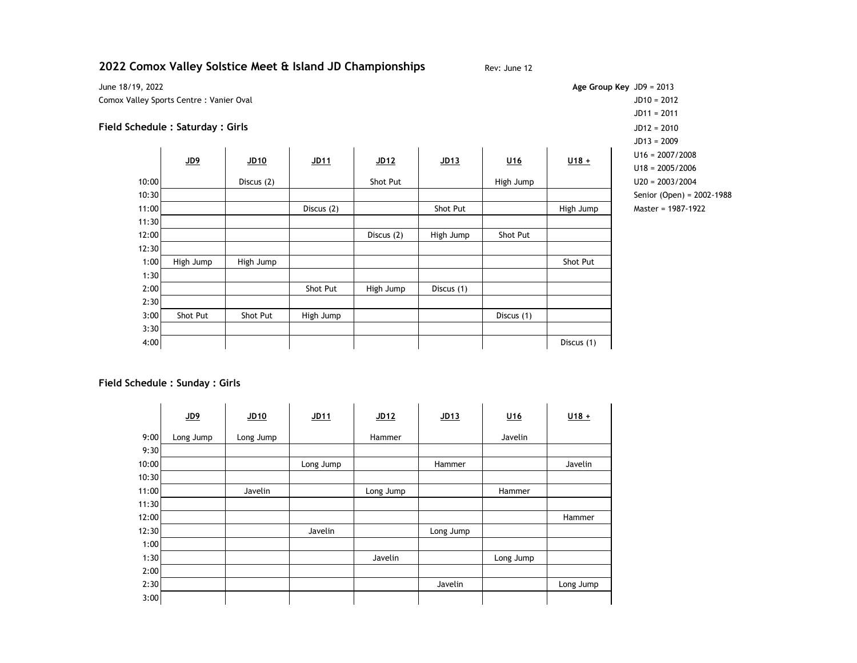# **2022 Comox Valley Solstice Meet & Island JD Championships** Rev: June 12

June 18/19, 2022 **Age Group Key** JD9 = 2013 Comox Valley Sports Centre : Vanier Oval JD10 = 2012

## **Field Schedule : Saturday : Girls** JD12 = 2010

|       |           |                  |                  |                  |                  |            |                   | $JUI3 = 2009$             |
|-------|-----------|------------------|------------------|------------------|------------------|------------|-------------------|---------------------------|
|       | $JD9$     | JD <sub>10</sub> | JD <sub>11</sub> | JD <sub>12</sub> | JD <sub>13</sub> | U16        | $U18+$            | $U16 = 2007/2008$         |
|       |           |                  |                  |                  |                  |            | $U18 = 2005/2006$ |                           |
| 10:00 |           | Discus (2)       |                  | Shot Put         |                  | High Jump  |                   | $U20 = 2003/2004$         |
| 10:30 |           |                  |                  |                  |                  |            |                   | Senior (Open) = 2002-1988 |
| 11:00 |           |                  | Discus (2)       |                  | Shot Put         |            | High Jump         | Master = 1987-1922        |
| 11:30 |           |                  |                  |                  |                  |            |                   |                           |
| 12:00 |           |                  |                  | Discus (2)       | High Jump        | Shot Put   |                   |                           |
| 12:30 |           |                  |                  |                  |                  |            |                   |                           |
| 1:00  | High Jump | High Jump        |                  |                  |                  |            | Shot Put          |                           |
| 1:30  |           |                  |                  |                  |                  |            |                   |                           |
| 2:00  |           |                  | Shot Put         | High Jump        | Discus (1)       |            |                   |                           |
| 2:30  |           |                  |                  |                  |                  |            |                   |                           |
| 3:00  | Shot Put  | Shot Put         | High Jump        |                  |                  | Discus (1) |                   |                           |
| 3:30  |           |                  |                  |                  |                  |            |                   |                           |
| 4:00  |           |                  |                  |                  |                  |            | Discus (1)        |                           |

JD11 = 2011 JD13 = 2009 U18 = 2005/2006

### **Field Schedule : Sunday : Girls**

|       | $JD9$     | JD <sub>10</sub> | <u>JD11</u> | JD <sub>12</sub> | JD <sub>13</sub> | $U16$     | $U18 +$   |
|-------|-----------|------------------|-------------|------------------|------------------|-----------|-----------|
| 9:00  | Long Jump | Long Jump        |             | Hammer           |                  | Javelin   |           |
| 9:30  |           |                  |             |                  |                  |           |           |
| 10:00 |           |                  | Long Jump   |                  | Hammer           |           | Javelin   |
| 10:30 |           |                  |             |                  |                  |           |           |
| 11:00 |           | Javelin          |             | Long Jump        |                  | Hammer    |           |
| 11:30 |           |                  |             |                  |                  |           |           |
| 12:00 |           |                  |             |                  |                  |           | Hammer    |
| 12:30 |           |                  | Javelin     |                  | Long Jump        |           |           |
| 1:00  |           |                  |             |                  |                  |           |           |
| 1:30  |           |                  |             | Javelin          |                  | Long Jump |           |
| 2:00  |           |                  |             |                  |                  |           |           |
| 2:30  |           |                  |             |                  | Javelin          |           | Long Jump |
| 3:00  |           |                  |             |                  |                  |           |           |